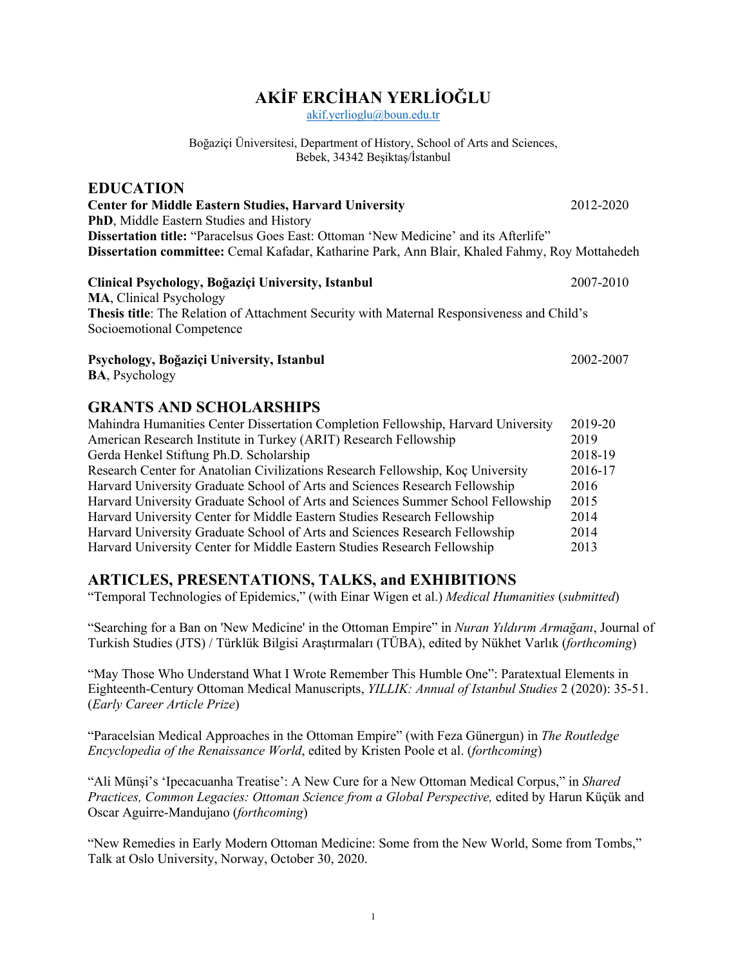# **AKİF ERCİHAN YERLİOĞLU**

akif.yerlioglu@boun.edu.tr

Boğaziçi Üniversitesi, Department of History, School of Arts and Sciences, Bebek, 34342 Beşiktaş/İstanbul

| <b>EDUCATION</b>                                                                                  |           |
|---------------------------------------------------------------------------------------------------|-----------|
| <b>Center for Middle Eastern Studies, Harvard University</b>                                      | 2012-2020 |
| <b>PhD, Middle Eastern Studies and History</b>                                                    |           |
| <b>Dissertation title:</b> "Paracelsus Goes East: Ottoman 'New Medicine' and its Afterlife"       |           |
| Dissertation committee: Cemal Kafadar, Katharine Park, Ann Blair, Khaled Fahmy, Roy Mottahedeh    |           |
| Clinical Psychology, Boğaziçi University, Istanbul                                                | 2007-2010 |
| <b>MA, Clinical Psychology</b>                                                                    |           |
| <b>Thesis title:</b> The Relation of Attachment Security with Maternal Responsiveness and Child's |           |
| Socioemotional Competence                                                                         |           |
| Psychology, Boğaziçi University, Istanbul                                                         | 2002-2007 |

#### **GRANTS AND SCHOLARSHIPS**

**BA**, Psychology

| Mahindra Humanities Center Dissertation Completion Fellowship, Harvard University | 2019-20 |
|-----------------------------------------------------------------------------------|---------|
| American Research Institute in Turkey (ARIT) Research Fellowship                  | 2019    |
| Gerda Henkel Stiftung Ph.D. Scholarship                                           | 2018-19 |
| Research Center for Anatolian Civilizations Research Fellowship, Koç University   | 2016-17 |
| Harvard University Graduate School of Arts and Sciences Research Fellowship       | 2016    |
| Harvard University Graduate School of Arts and Sciences Summer School Fellowship  | 2015    |
| Harvard University Center for Middle Eastern Studies Research Fellowship          | 2014    |
| Harvard University Graduate School of Arts and Sciences Research Fellowship       | 2014    |
| Harvard University Center for Middle Eastern Studies Research Fellowship          | 2013    |

## **ARTICLES, PRESENTATIONS, TALKS, and EXHIBITIONS**

"Temporal Technologies of Epidemics," (with Einar Wigen et al.) *Medical Humanities* (*submitted*)

"Searching for a Ban on 'New Medicine' in the Ottoman Empire" in *Nuran Yıldırım Armağanı*, Journal of Turkish Studies (JTS) / Türklük Bilgisi Araştırmaları (TÜBA), edited by Nükhet Varlık (*forthcoming*)

"May Those Who Understand What I Wrote Remember This Humble One": Paratextual Elements in Eighteenth-Century Ottoman Medical Manuscripts, *YILLIK: Annual of Istanbul Studies* 2 (2020): 35-51. (*Early Career Article Prize*)

"Paracelsian Medical Approaches in the Ottoman Empire" (with Feza Günergun) in *The Routledge Encyclopedia of the Renaissance World*, edited by Kristen Poole et al. (*forthcoming*)

"Ali Münşi's 'Ipecacuanha Treatise': A New Cure for a New Ottoman Medical Corpus," in *Shared Practices, Common Legacies: Ottoman Science from a Global Perspective,* edited by Harun Küçük and Oscar Aguirre-Mandujano (*forthcoming*)

"New Remedies in Early Modern Ottoman Medicine: Some from the New World, Some from Tombs," Talk at Oslo University, Norway, October 30, 2020.